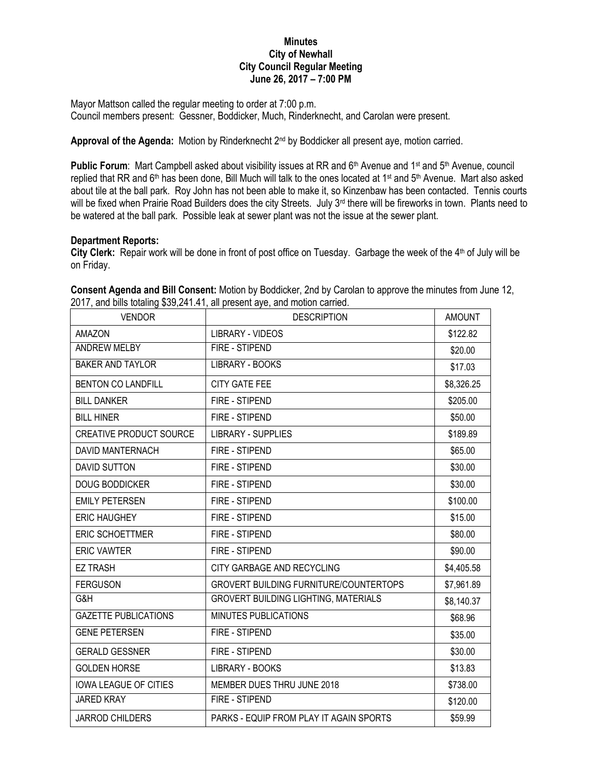## **Minutes City of Newhall City Council Regular Meeting June 26, 2017 – 7:00 PM**

Mayor Mattson called the regular meeting to order at 7:00 p.m. Council members present: Gessner, Boddicker, Much, Rinderknecht, and Carolan were present.

Approval of the Agenda: Motion by Rinderknecht 2<sup>nd</sup> by Boddicker all present aye, motion carried.

**Public Forum**: Mart Campbell asked about visibility issues at RR and 6<sup>th</sup> Avenue and 1<sup>st</sup> and 5<sup>th</sup> Avenue, council replied that RR and 6<sup>th</sup> has been done, Bill Much will talk to the ones located at 1<sup>st</sup> and 5<sup>th</sup> Avenue. Mart also asked about tile at the ball park. Roy John has not been able to make it, so Kinzenbaw has been contacted. Tennis courts will be fixed when Prairie Road Builders does the city Streets. July 3<sup>rd</sup> there will be fireworks in town. Plants need to be watered at the ball park. Possible leak at sewer plant was not the issue at the sewer plant.

## **Department Reports:**

City Clerk: Repair work will be done in front of post office on Tuesday. Garbage the week of the 4<sup>th</sup> of July will be on Friday.

| <b>VENDOR</b>                  | <b>DESCRIPTION</b>                            | <b>AMOUNT</b> |
|--------------------------------|-----------------------------------------------|---------------|
| <b>AMAZON</b>                  | <b>LIBRARY - VIDEOS</b>                       | \$122.82      |
| <b>ANDREW MELBY</b>            | FIRE - STIPEND                                | \$20.00       |
| <b>BAKER AND TAYLOR</b>        | LIBRARY - BOOKS                               | \$17.03       |
| <b>BENTON CO LANDFILL</b>      | <b>CITY GATE FEE</b>                          | \$8,326.25    |
| <b>BILL DANKER</b>             | FIRE - STIPEND                                | \$205.00      |
| <b>BILL HINER</b>              | FIRE - STIPEND                                | \$50.00       |
| <b>CREATIVE PRODUCT SOURCE</b> | <b>LIBRARY - SUPPLIES</b>                     | \$189.89      |
| <b>DAVID MANTERNACH</b>        | FIRE - STIPEND                                | \$65.00       |
| <b>DAVID SUTTON</b>            | FIRE - STIPEND                                | \$30.00       |
| <b>DOUG BODDICKER</b>          | FIRE - STIPEND                                | \$30.00       |
| <b>EMILY PETERSEN</b>          | FIRE - STIPEND                                | \$100.00      |
| <b>ERIC HAUGHEY</b>            | FIRE - STIPEND                                | \$15.00       |
| <b>ERIC SCHOETTMER</b>         | FIRE - STIPEND                                | \$80.00       |
| <b>ERIC VAWTER</b>             | FIRE - STIPEND                                | \$90.00       |
| <b>EZ TRASH</b>                | CITY GARBAGE AND RECYCLING                    | \$4,405.58    |
| <b>FERGUSON</b>                | <b>GROVERT BUILDING FURNITURE/COUNTERTOPS</b> | \$7,961.89    |
| G&H                            | GROVERT BUILDING LIGHTING, MATERIALS          | \$8,140.37    |
| <b>GAZETTE PUBLICATIONS</b>    | <b>MINUTES PUBLICATIONS</b>                   | \$68.96       |
| <b>GENE PETERSEN</b>           | FIRE - STIPEND                                | \$35.00       |
| <b>GERALD GESSNER</b>          | FIRE - STIPEND                                | \$30.00       |
| <b>GOLDEN HORSE</b>            | LIBRARY - BOOKS                               | \$13.83       |
| <b>IOWA LEAGUE OF CITIES</b>   | MEMBER DUES THRU JUNE 2018                    | \$738.00      |
| <b>JARED KRAY</b>              | FIRE - STIPEND                                | \$120.00      |
| <b>JARROD CHILDERS</b>         | PARKS - EQUIP FROM PLAY IT AGAIN SPORTS       | \$59.99       |

**Consent Agenda and Bill Consent:** Motion by Boddicker, 2nd by Carolan to approve the minutes from June 12, 2017, and bills totaling \$39,241.41, all present aye, and motion carried.